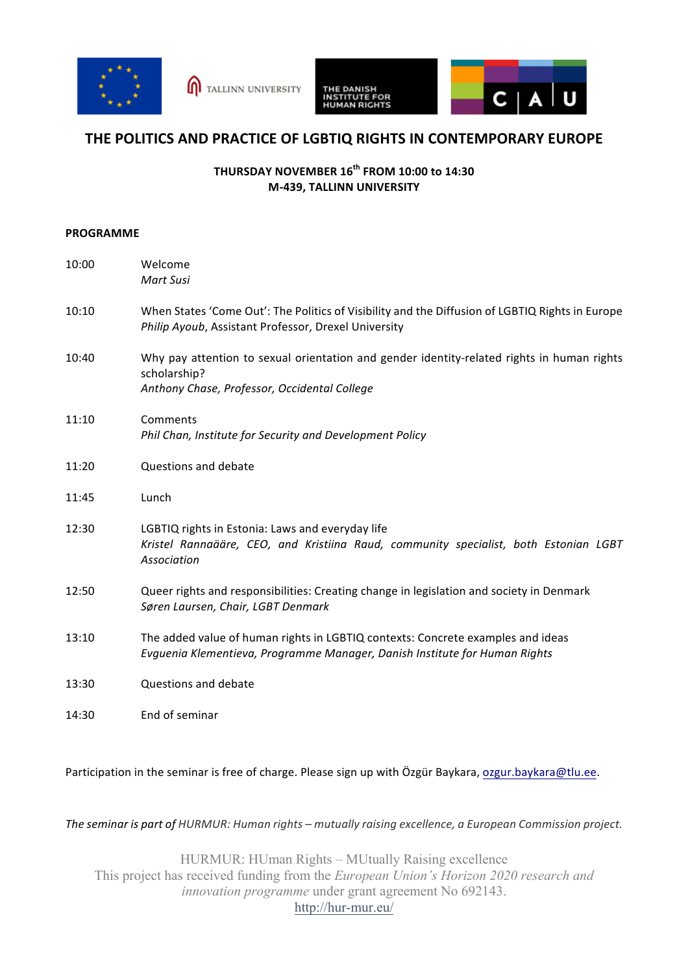



## **THE POLITICS AND PRACTICE OF LGBTIQ RIGHTS IN CONTEMPORARY EUROPE**

## **THURSDAY NOVEMBER 16th FROM 10:00 to 14:30 M-439, TALLINN UNIVERSITY**

## **PROGRAMME**

| 10:00 | Welcome<br>Mart Susi                                                                                                                                          |
|-------|---------------------------------------------------------------------------------------------------------------------------------------------------------------|
| 10:10 | When States 'Come Out': The Politics of Visibility and the Diffusion of LGBTIQ Rights in Europe<br>Philip Ayoub, Assistant Professor, Drexel University       |
| 10:40 | Why pay attention to sexual orientation and gender identity-related rights in human rights<br>scholarship?<br>Anthony Chase, Professor, Occidental College    |
| 11:10 | Comments<br>Phil Chan, Institute for Security and Development Policy                                                                                          |
| 11:20 | Questions and debate                                                                                                                                          |
| 11:45 | Lunch                                                                                                                                                         |
| 12:30 | LGBTIQ rights in Estonia: Laws and everyday life<br>Kristel Rannaääre, CEO, and Kristiina Raud, community specialist, both Estonian LGBT<br>Association       |
| 12:50 | Queer rights and responsibilities: Creating change in legislation and society in Denmark<br>Søren Laursen, Chair, LGBT Denmark                                |
| 13:10 | The added value of human rights in LGBTIQ contexts: Concrete examples and ideas<br>Evguenia Klementieva, Programme Manager, Danish Institute for Human Rights |
| 13:30 | Questions and debate                                                                                                                                          |
| 14:30 | End of seminar                                                                                                                                                |

Participation in the seminar is free of charge. Please sign up with Özgür Baykara, ozgur.baykara@tlu.ee.

The seminar is part of HURMUR: Human rights – mutually raising excellence, a European Commission project.

HURMUR: HUman Rights – MUtually Raising excellence This project has received funding from the *European Union's Horizon 2020 research and innovation programme* under grant agreement No 692143. http://hur-mur.eu/